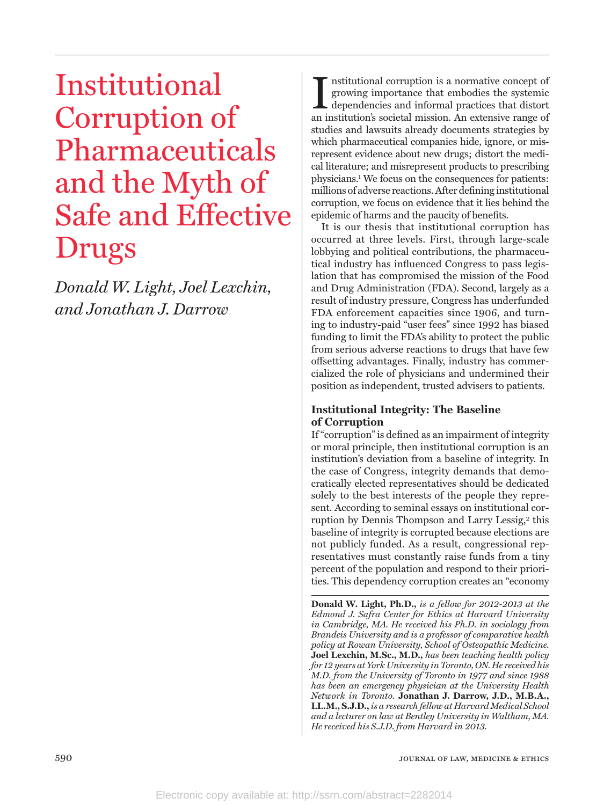# Institutional Corruption of Pharmaceuticals and the Myth of Safe and Effective Drugs

*Donald W. Light, Joel Lexchin, and Jonathan J. Darrow*

Institutional corruption is a normative concept of growing importance that embodies the systemic dependencies and informal practices that distort an institution's societal mission. An extensive range of nstitutional corruption is a normative concept of growing importance that embodies the systemic dependencies and informal practices that distort studies and lawsuits already documents strategies by which pharmaceutical companies hide, ignore, or misrepresent evidence about new drugs; distort the medical literature; and misrepresent products to prescribing physicians.1 We focus on the consequences for patients: millions of adverse reactions. After defining institutional corruption, we focus on evidence that it lies behind the epidemic of harms and the paucity of benefits.

It is our thesis that institutional corruption has occurred at three levels. First, through large-scale lobbying and political contributions, the pharmaceutical industry has influenced Congress to pass legislation that has compromised the mission of the Food and Drug Administration (FDA). Second, largely as a result of industry pressure, Congress has underfunded FDA enforcement capacities since 1906, and turning to industry-paid "user fees" since 1992 has biased funding to limit the FDA's ability to protect the public from serious adverse reactions to drugs that have few offsetting advantages. Finally, industry has commercialized the role of physicians and undermined their position as independent, trusted advisers to patients.

# **Institutional Integrity: The Baseline of Corruption**

If "corruption" is defined as an impairment of integrity or moral principle, then institutional corruption is an institution's deviation from a baseline of integrity. In the case of Congress, integrity demands that democratically elected representatives should be dedicated solely to the best interests of the people they represent. According to seminal essays on institutional corruption by Dennis Thompson and Larry Lessig,<sup>2</sup> this baseline of integrity is corrupted because elections are not publicly funded. As a result, congressional representatives must constantly raise funds from a tiny percent of the population and respond to their priorities. This dependency corruption creates an "economy

**Donald W. Light, Ph.D.,** *is a fellow for 2012-2013 at the Edmond J. Safra Center for Ethics at Harvard University in Cambridge, MA. He received his Ph.D. in sociology from Brandeis University and is a professor of comparative health policy at Rowan University, School of Osteopathic Medicine.*  **Joel Lexchin, M.Sc., M.D.,** *has been teaching health policy for 12 years at York University in Toronto, ON. He received his M.D. from the University of Toronto in 1977 and since 1988 has been an emergency physician at the University Health Network in Toronto.* **Jonathan J. Darrow, J.D., M.B.A., LL.M., S.J.D.,** *is a research fellow at Harvard Medical School and a lecturer on law at Bentley University in Waltham, MA. He received his S.J.D. from Harvard in 2013.*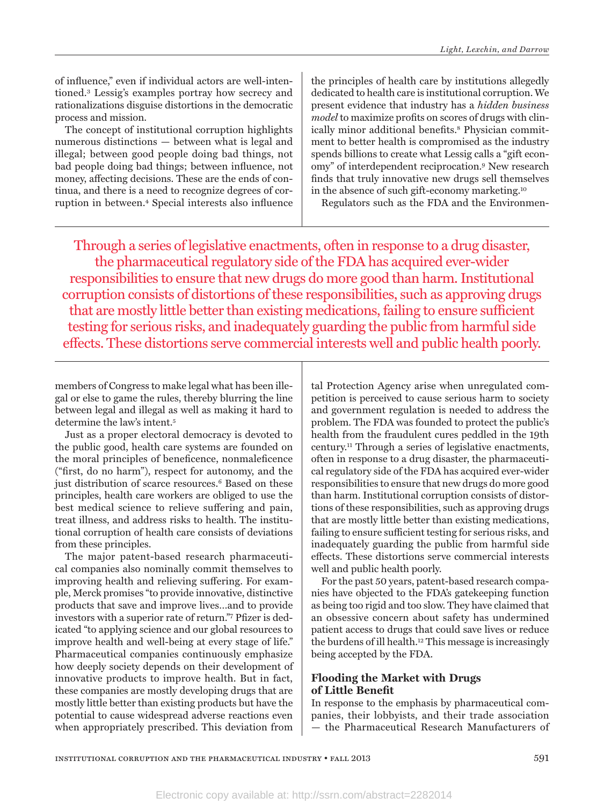of influence," even if individual actors are well-intentioned.3 Lessig's examples portray how secrecy and rationalizations disguise distortions in the democratic process and mission.

The concept of institutional corruption highlights numerous distinctions — between what is legal and illegal; between good people doing bad things, not bad people doing bad things; between influence, not money, affecting decisions. These are the ends of continua, and there is a need to recognize degrees of corruption in between.4 Special interests also influence

the principles of health care by institutions allegedly dedicated to health care is institutional corruption. We present evidence that industry has a *hidden business model* to maximize profits on scores of drugs with clinically minor additional benefits.8 Physician commitment to better health is compromised as the industry spends billions to create what Lessig calls a "gift economy" of interdependent reciprocation.9 New research finds that truly innovative new drugs sell themselves in the absence of such gift-economy marketing.10

Regulators such as the FDA and the Environmen-

Through a series of legislative enactments, often in response to a drug disaster, the pharmaceutical regulatory side of the FDA has acquired ever-wider responsibilities to ensure that new drugs do more good than harm. Institutional corruption consists of distortions of these responsibilities, such as approving drugs that are mostly little better than existing medications, failing to ensure sufficient testing for serious risks, and inadequately guarding the public from harmful side effects. These distortions serve commercial interests well and public health poorly.

members of Congress to make legal what has been illegal or else to game the rules, thereby blurring the line between legal and illegal as well as making it hard to determine the law's intent.5

Just as a proper electoral democracy is devoted to the public good, health care systems are founded on the moral principles of beneficence, nonmaleficence ("first, do no harm"), respect for autonomy, and the just distribution of scarce resources.<sup>6</sup> Based on these principles, health care workers are obliged to use the best medical science to relieve suffering and pain, treat illness, and address risks to health. The institutional corruption of health care consists of deviations from these principles.

The major patent-based research pharmaceutical companies also nominally commit themselves to improving health and relieving suffering. For example, Merck promises "to provide innovative, distinctive products that save and improve lives…and to provide investors with a superior rate of return."7 Pfizer is dedicated "to applying science and our global resources to improve health and well-being at every stage of life." Pharmaceutical companies continuously emphasize how deeply society depends on their development of innovative products to improve health. But in fact, these companies are mostly developing drugs that are mostly little better than existing products but have the potential to cause widespread adverse reactions even when appropriately prescribed. This deviation from

tal Protection Agency arise when unregulated competition is perceived to cause serious harm to society and government regulation is needed to address the problem. The FDA was founded to protect the public's health from the fraudulent cures peddled in the 19th century.11 Through a series of legislative enactments, often in response to a drug disaster, the pharmaceutical regulatory side of the FDA has acquired ever-wider responsibilities to ensure that new drugs do more good than harm. Institutional corruption consists of distortions of these responsibilities, such as approving drugs that are mostly little better than existing medications, failing to ensure sufficient testing for serious risks, and inadequately guarding the public from harmful side effects. These distortions serve commercial interests well and public health poorly.

For the past 50 years, patent-based research companies have objected to the FDA's gatekeeping function as being too rigid and too slow. They have claimed that an obsessive concern about safety has undermined patient access to drugs that could save lives or reduce the burdens of ill health.12 This message is increasingly being accepted by the FDA.

# **Flooding the Market with Drugs of Little Benefit**

In response to the emphasis by pharmaceutical companies, their lobbyists, and their trade association — the Pharmaceutical Research Manufacturers of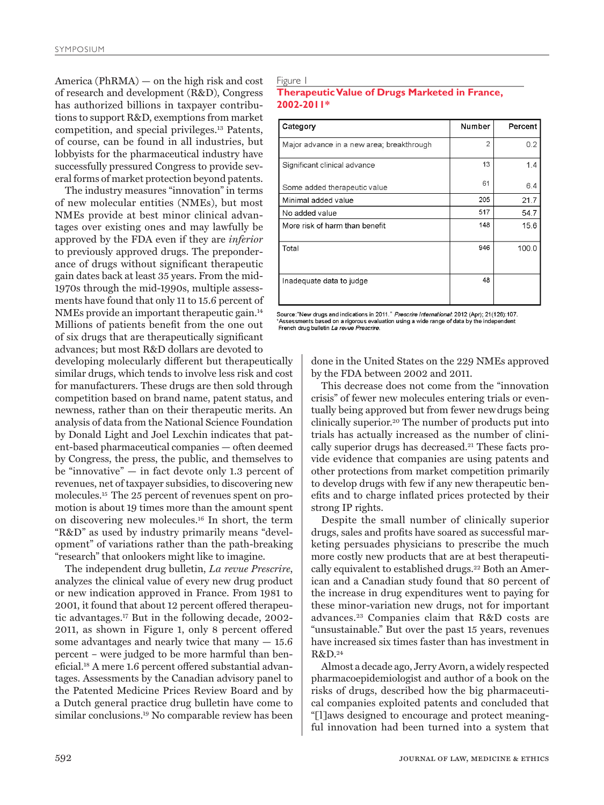America (PhRMA) — on the high risk and cost of research and development (R&D), Congress has authorized billions in taxpayer contributions to support R&D, exemptions from market competition, and special privileges.13 Patents, of course, can be found in all industries, but lobbyists for the pharmaceutical industry have successfully pressured Congress to provide several forms of market protection beyond patents.

The industry measures "innovation" in terms of new molecular entities (NMEs), but most NMEs provide at best minor clinical advantages over existing ones and may lawfully be approved by the FDA even if they are *inferior* to previously approved drugs. The preponderance of drugs without significant therapeutic gain dates back at least 35 years. From the mid-1970s through the mid-1990s, multiple assessments have found that only 11 to 15.6 percent of NMEs provide an important therapeutic gain.14 Millions of patients benefit from the one out of six drugs that are therapeutically significant advances; but most R&D dollars are devoted to

developing molecularly different but therapeutically similar drugs, which tends to involve less risk and cost for manufacturers. These drugs are then sold through competition based on brand name, patent status, and newness, rather than on their therapeutic merits. An analysis of data from the National Science Foundation by Donald Light and Joel Lexchin indicates that patent-based pharmaceutical companies — often deemed by Congress, the press, the public, and themselves to be "innovative" — in fact devote only 1.3 percent of revenues, net of taxpayer subsidies, to discovering new molecules.15 The 25 percent of revenues spent on promotion is about 19 times more than the amount spent on discovering new molecules.16 In short, the term "R&D" as used by industry primarily means "development" of variations rather than the path-breaking "research" that onlookers might like to imagine.

The independent drug bulletin, *La revue Prescrire*, analyzes the clinical value of every new drug product or new indication approved in France. From 1981 to 2001, it found that about 12 percent offered therapeutic advantages.17 But in the following decade, 2002- 2011, as shown in Figure 1, only 8 percent offered some advantages and nearly twice that many  $-15.6$ percent – were judged to be more harmful than beneficial.18 A mere 1.6 percent offered substantial advantages. Assessments by the Canadian advisory panel to the Patented Medicine Prices Review Board and by a Dutch general practice drug bulletin have come to similar conclusions.19 No comparable review has been

## Figure 1

## **Therapeutic Value of Drugs Marketed in France, 2002-2011\***

| Category                                  | Number         | Percent |
|-------------------------------------------|----------------|---------|
| Major advance in a new area; breakthrough | $\overline{2}$ | 0.2     |
| Significant clinical advance              | 13             | 1.4     |
| Some added therapeutic value              | 61             | 6.4     |
| Minimal added value                       | 205            | 21.7    |
| No added value                            | 517            | 54.7    |
| More risk of harm than benefit            | 148            | 15.6    |
| Total                                     | 946            | 100.0   |
| Inadequate data to judge                  | 48             |         |

Source: "New drugs and indications in 2011." Prescrire International: 2012 (Apr); 21(126):107. Assessments based on a rigorous evaluation using a wide range of data by the independent<br>French drug bulletin *La revue Prescrire.* 

> done in the United States on the 229 NMEs approved by the FDA between 2002 and 2011.

> This decrease does not come from the "innovation crisis" of fewer new molecules entering trials or eventually being approved but from fewer new drugs being clinically superior.20 The number of products put into trials has actually increased as the number of clinically superior drugs has decreased.21 These facts provide evidence that companies are using patents and other protections from market competition primarily to develop drugs with few if any new therapeutic benefits and to charge inflated prices protected by their strong IP rights.

> Despite the small number of clinically superior drugs, sales and profits have soared as successful marketing persuades physicians to prescribe the much more costly new products that are at best therapeutically equivalent to established drugs.<sup>22</sup> Both an American and a Canadian study found that 80 percent of the increase in drug expenditures went to paying for these minor-variation new drugs, not for important advances.23 Companies claim that R&D costs are "unsustainable." But over the past 15 years, revenues have increased six times faster than has investment in R&D.24

> Almost a decade ago, Jerry Avorn, a widely respected pharmacoepidemiologist and author of a book on the risks of drugs, described how the big pharmaceutical companies exploited patents and concluded that "[l]aws designed to encourage and protect meaningful innovation had been turned into a system that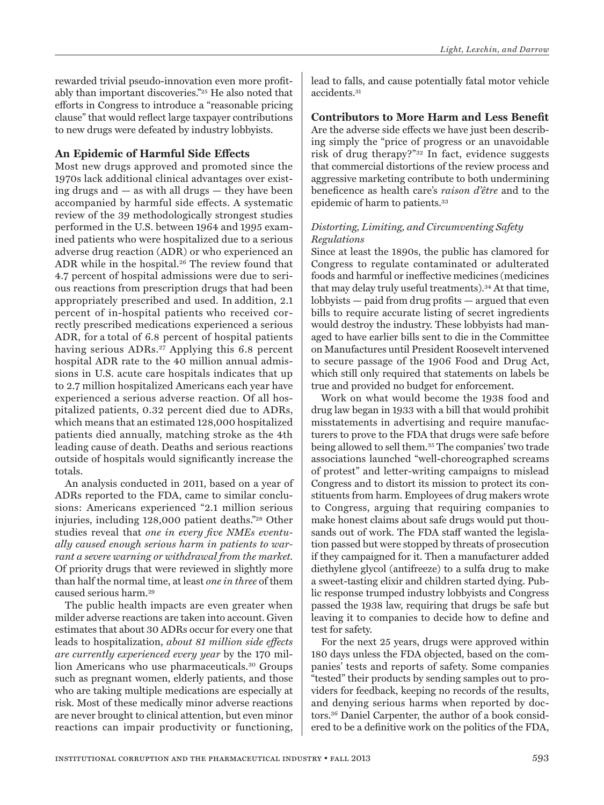# **An Epidemic of Harmful Side Effects**

Most new drugs approved and promoted since the 1970s lack additional clinical advantages over existing drugs and — as with all drugs — they have been accompanied by harmful side effects. A systematic review of the 39 methodologically strongest studies performed in the U.S. between 1964 and 1995 examined patients who were hospitalized due to a serious adverse drug reaction (ADR) or who experienced an ADR while in the hospital.26 The review found that 4.7 percent of hospital admissions were due to serious reactions from prescription drugs that had been appropriately prescribed and used. In addition, 2.1 percent of in-hospital patients who received correctly prescribed medications experienced a serious ADR, for a total of 6.8 percent of hospital patients having serious ADRs.<sup>27</sup> Applying this 6.8 percent hospital ADR rate to the 40 million annual admissions in U.S. acute care hospitals indicates that up to 2.7 million hospitalized Americans each year have experienced a serious adverse reaction. Of all hospitalized patients, 0.32 percent died due to ADRs, which means that an estimated 128,000 hospitalized patients died annually, matching stroke as the 4th leading cause of death. Deaths and serious reactions outside of hospitals would significantly increase the totals.

An analysis conducted in 2011, based on a year of ADRs reported to the FDA, came to similar conclusions: Americans experienced "2.1 million serious injuries, including 128,000 patient deaths."28 Other studies reveal that *one in every five NMEs eventually caused enough serious harm in patients to warrant a severe warning or withdrawal from the market.* Of priority drugs that were reviewed in slightly more than half the normal time, at least *one in three* of them caused serious harm.29

The public health impacts are even greater when milder adverse reactions are taken into account. Given estimates that about 30 ADRs occur for every one that leads to hospitalization, *about 81 million side effects are currently experienced every year* by the 170 million Americans who use pharmaceuticals.30 Groups such as pregnant women, elderly patients, and those who are taking multiple medications are especially at risk. Most of these medically minor adverse reactions are never brought to clinical attention, but even minor reactions can impair productivity or functioning,

lead to falls, and cause potentially fatal motor vehicle accidents.31

**Contributors to More Harm and Less Benefit**  Are the adverse side effects we have just been describing simply the "price of progress or an unavoidable risk of drug therapy?"32 In fact, evidence suggests that commercial distortions of the review process and aggressive marketing contribute to both undermining beneficence as health care's *raison d'être* and to the epidemic of harm to patients.<sup>33</sup>

## *Distorting, Limiting, and Circumventing Safety Regulations*

Since at least the 1890s, the public has clamored for Congress to regulate contaminated or adulterated foods and harmful or ineffective medicines (medicines that may delay truly useful treatments).34 At that time, lobbyists — paid from drug profits — argued that even bills to require accurate listing of secret ingredients would destroy the industry. These lobbyists had managed to have earlier bills sent to die in the Committee on Manufactures until President Roosevelt intervened to secure passage of the 1906 Food and Drug Act, which still only required that statements on labels be true and provided no budget for enforcement.

Work on what would become the 1938 food and drug law began in 1933 with a bill that would prohibit misstatements in advertising and require manufacturers to prove to the FDA that drugs were safe before being allowed to sell them.35 The companies' two trade associations launched "well-choreographed screams of protest" and letter-writing campaigns to mislead Congress and to distort its mission to protect its constituents from harm. Employees of drug makers wrote to Congress, arguing that requiring companies to make honest claims about safe drugs would put thousands out of work. The FDA staff wanted the legislation passed but were stopped by threats of prosecution if they campaigned for it. Then a manufacturer added diethylene glycol (antifreeze) to a sulfa drug to make a sweet-tasting elixir and children started dying. Public response trumped industry lobbyists and Congress passed the 1938 law, requiring that drugs be safe but leaving it to companies to decide how to define and test for safety.

For the next 25 years, drugs were approved within 180 days unless the FDA objected, based on the companies' tests and reports of safety. Some companies "tested" their products by sending samples out to providers for feedback, keeping no records of the results, and denying serious harms when reported by doctors.36 Daniel Carpenter, the author of a book considered to be a definitive work on the politics of the FDA,

*Light, Lexchin, and Darrow*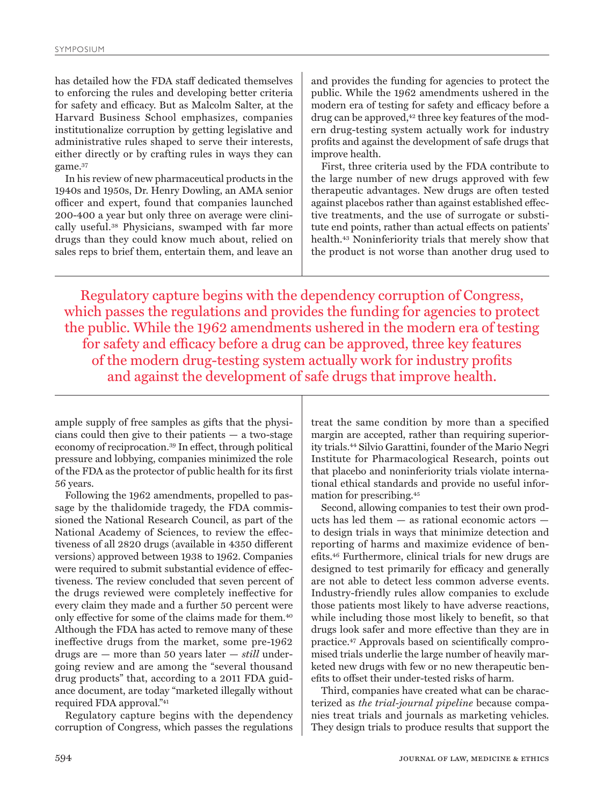has detailed how the FDA staff dedicated themselves to enforcing the rules and developing better criteria for safety and efficacy. But as Malcolm Salter, at the Harvard Business School emphasizes, companies institutionalize corruption by getting legislative and administrative rules shaped to serve their interests, either directly or by crafting rules in ways they can game.37

In his review of new pharmaceutical products in the 1940s and 1950s, Dr. Henry Dowling, an AMA senior officer and expert, found that companies launched 200-400 a year but only three on average were clinically useful.38 Physicians, swamped with far more drugs than they could know much about, relied on sales reps to brief them, entertain them, and leave an

and provides the funding for agencies to protect the public. While the 1962 amendments ushered in the modern era of testing for safety and efficacy before a drug can be approved,<sup>42</sup> three key features of the modern drug-testing system actually work for industry profits and against the development of safe drugs that improve health.

First, three criteria used by the FDA contribute to the large number of new drugs approved with few therapeutic advantages. New drugs are often tested against placebos rather than against established effective treatments, and the use of surrogate or substitute end points, rather than actual effects on patients' health.43 Noninferiority trials that merely show that the product is not worse than another drug used to

Regulatory capture begins with the dependency corruption of Congress, which passes the regulations and provides the funding for agencies to protect the public. While the 1962 amendments ushered in the modern era of testing for safety and efficacy before a drug can be approved, three key features of the modern drug-testing system actually work for industry profits and against the development of safe drugs that improve health.

ample supply of free samples as gifts that the physicians could then give to their patients — a two-stage economy of reciprocation.39 In effect, through political pressure and lobbying, companies minimized the role of the FDA as the protector of public health for its first 56 years.

Following the 1962 amendments, propelled to passage by the thalidomide tragedy, the FDA commissioned the National Research Council, as part of the National Academy of Sciences, to review the effectiveness of all 2820 drugs (available in 4350 different versions) approved between 1938 to 1962. Companies were required to submit substantial evidence of effectiveness. The review concluded that seven percent of the drugs reviewed were completely ineffective for every claim they made and a further 50 percent were only effective for some of the claims made for them.40 Although the FDA has acted to remove many of these ineffective drugs from the market, some pre-1962 drugs are — more than 50 years later — *still* undergoing review and are among the "several thousand drug products" that, according to a 2011 FDA guidance document, are today "marketed illegally without required FDA approval."41

Regulatory capture begins with the dependency corruption of Congress, which passes the regulations

treat the same condition by more than a specified margin are accepted, rather than requiring superiority trials.44 Silvio Garattini, founder of the Mario Negri Institute for Pharmacological Research, points out that placebo and noninferiority trials violate international ethical standards and provide no useful information for prescribing.45

Second, allowing companies to test their own products has led them — as rational economic actors to design trials in ways that minimize detection and reporting of harms and maximize evidence of benefits.46 Furthermore, clinical trials for new drugs are designed to test primarily for efficacy and generally are not able to detect less common adverse events. Industry-friendly rules allow companies to exclude those patients most likely to have adverse reactions, while including those most likely to benefit, so that drugs look safer and more effective than they are in practice.47 Approvals based on scientifically compromised trials underlie the large number of heavily marketed new drugs with few or no new therapeutic benefits to offset their under-tested risks of harm.

Third, companies have created what can be characterized as *the trial-journal pipeline* because companies treat trials and journals as marketing vehicles*.* They design trials to produce results that support the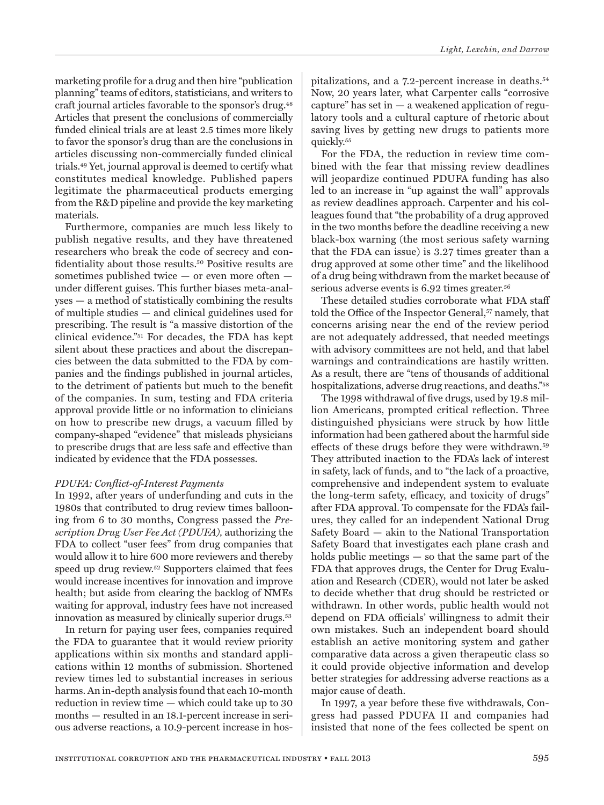marketing profile for a drug and then hire "publication planning" teams of editors, statisticians, and writers to craft journal articles favorable to the sponsor's drug.48 Articles that present the conclusions of commercially funded clinical trials are at least 2.5 times more likely to favor the sponsor's drug than are the conclusions in articles discussing non-commercially funded clinical trials.49 Yet, journal approval is deemed to certify what constitutes medical knowledge. Published papers legitimate the pharmaceutical products emerging from the R&D pipeline and provide the key marketing materials.

Furthermore, companies are much less likely to publish negative results, and they have threatened researchers who break the code of secrecy and confidentiality about those results.50 Positive results are sometimes published twice — or even more often under different guises. This further biases meta-analyses — a method of statistically combining the results of multiple studies — and clinical guidelines used for prescribing. The result is "a massive distortion of the clinical evidence."51 For decades, the FDA has kept silent about these practices and about the discrepancies between the data submitted to the FDA by companies and the findings published in journal articles, to the detriment of patients but much to the benefit of the companies. In sum, testing and FDA criteria approval provide little or no information to clinicians on how to prescribe new drugs, a vacuum filled by company-shaped "evidence" that misleads physicians to prescribe drugs that are less safe and effective than indicated by evidence that the FDA possesses.

### *PDUFA: Conflict-of-Interest Payments*

In 1992, after years of underfunding and cuts in the 1980s that contributed to drug review times ballooning from 6 to 30 months, Congress passed the *Prescription Drug User Fee Act (PDUFA),* authorizing the FDA to collect "user fees" from drug companies that would allow it to hire 600 more reviewers and thereby speed up drug review.52 Supporters claimed that fees would increase incentives for innovation and improve health; but aside from clearing the backlog of NMEs waiting for approval, industry fees have not increased innovation as measured by clinically superior drugs.<sup>53</sup>

In return for paying user fees, companies required the FDA to guarantee that it would review priority applications within six months and standard applications within 12 months of submission. Shortened review times led to substantial increases in serious harms. An in-depth analysis found that each 10-month reduction in review time — which could take up to 30 months — resulted in an 18.1-percent increase in serious adverse reactions, a 10.9-percent increase in hos-

pitalizations, and a 7.2-percent increase in deaths.54 Now, 20 years later, what Carpenter calls "corrosive capture" has set in  $-$  a weakened application of regulatory tools and a cultural capture of rhetoric about saving lives by getting new drugs to patients more quickly.55

For the FDA, the reduction in review time combined with the fear that missing review deadlines will jeopardize continued PDUFA funding has also led to an increase in "up against the wall" approvals as review deadlines approach. Carpenter and his colleagues found that "the probability of a drug approved in the two months before the deadline receiving a new black-box warning (the most serious safety warning that the FDA can issue) is 3.27 times greater than a drug approved at some other time" and the likelihood of a drug being withdrawn from the market because of serious adverse events is 6.92 times greater.<sup>56</sup>

These detailed studies corroborate what FDA staff told the Office of the Inspector General,<sup>57</sup> namely, that concerns arising near the end of the review period are not adequately addressed, that needed meetings with advisory committees are not held, and that label warnings and contraindications are hastily written. As a result, there are "tens of thousands of additional hospitalizations, adverse drug reactions, and deaths."58

The 1998 withdrawal of five drugs, used by 19.8 million Americans, prompted critical reflection. Three distinguished physicians were struck by how little information had been gathered about the harmful side effects of these drugs before they were withdrawn.59 They attributed inaction to the FDA's lack of interest in safety, lack of funds, and to "the lack of a proactive, comprehensive and independent system to evaluate the long-term safety, efficacy, and toxicity of drugs" after FDA approval. To compensate for the FDA's failures, they called for an independent National Drug Safety Board — akin to the National Transportation Safety Board that investigates each plane crash and holds public meetings — so that the same part of the FDA that approves drugs, the Center for Drug Evaluation and Research (CDER), would not later be asked to decide whether that drug should be restricted or withdrawn. In other words, public health would not depend on FDA officials' willingness to admit their own mistakes. Such an independent board should establish an active monitoring system and gather comparative data across a given therapeutic class so it could provide objective information and develop better strategies for addressing adverse reactions as a major cause of death.

In 1997, a year before these five withdrawals, Congress had passed PDUFA II and companies had insisted that none of the fees collected be spent on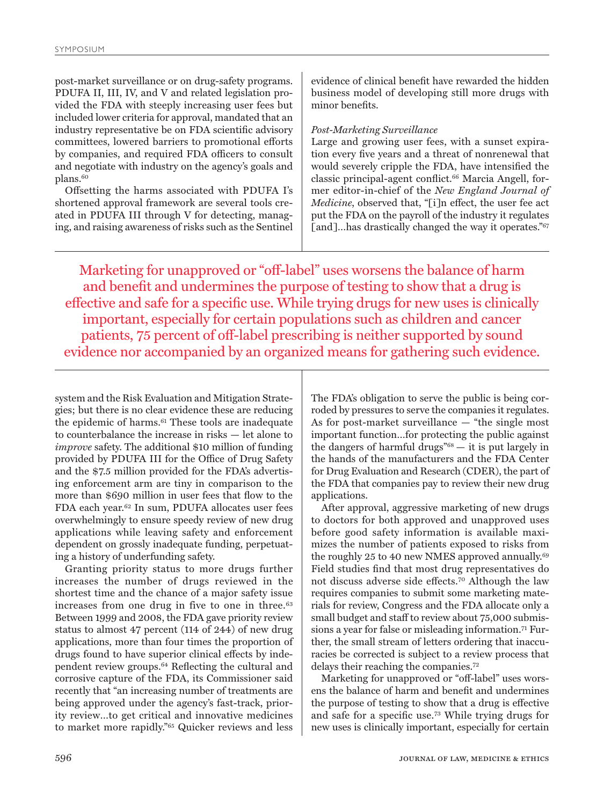post-market surveillance or on drug-safety programs. PDUFA II, III, IV, and V and related legislation provided the FDA with steeply increasing user fees but included lower criteria for approval, mandated that an industry representative be on FDA scientific advisory committees, lowered barriers to promotional efforts by companies, and required FDA officers to consult and negotiate with industry on the agency's goals and plans.<sup>60</sup>

Offsetting the harms associated with PDUFA I's shortened approval framework are several tools created in PDUFA III through V for detecting, managing, and raising awareness of risks such as the Sentinel

evidence of clinical benefit have rewarded the hidden business model of developing still more drugs with minor benefits.

### *Post-Marketing Surveillance*

Large and growing user fees, with a sunset expiration every five years and a threat of nonrenewal that would severely cripple the FDA, have intensified the classic principal-agent conflict.66 Marcia Angell, former editor-in-chief of the *New England Journal of Medicine*, observed that, "[i]n effect, the user fee act put the FDA on the payroll of the industry it regulates [and]…has drastically changed the way it operates."<sup>67</sup>

Marketing for unapproved or "off-label" uses worsens the balance of harm and benefit and undermines the purpose of testing to show that a drug is effective and safe for a specific use. While trying drugs for new uses is clinically important, especially for certain populations such as children and cancer patients, 75 percent of off-label prescribing is neither supported by sound evidence nor accompanied by an organized means for gathering such evidence.

system and the Risk Evaluation and Mitigation Strategies; but there is no clear evidence these are reducing the epidemic of harms.<sup>61</sup> These tools are inadequate to counterbalance the increase in risks — let alone to *improve* safety. The additional \$10 million of funding provided by PDUFA III for the Office of Drug Safety and the \$7.5 million provided for the FDA's advertising enforcement arm are tiny in comparison to the more than \$690 million in user fees that flow to the FDA each year.62 In sum, PDUFA allocates user fees overwhelmingly to ensure speedy review of new drug applications while leaving safety and enforcement dependent on grossly inadequate funding, perpetuating a history of underfunding safety.

Granting priority status to more drugs further increases the number of drugs reviewed in the shortest time and the chance of a major safety issue increases from one drug in five to one in three.<sup>63</sup> Between 1999 and 2008, the FDA gave priority review status to almost 47 percent (114 of 244) of new drug applications, more than four times the proportion of drugs found to have superior clinical effects by independent review groups.64 Reflecting the cultural and corrosive capture of the FDA, its Commissioner said recently that "an increasing number of treatments are being approved under the agency's fast-track, priority review…to get critical and innovative medicines to market more rapidly."65 Quicker reviews and less

The FDA's obligation to serve the public is being corroded by pressures to serve the companies it regulates. As for post-market surveillance — "the single most important function…for protecting the public against the dangers of harmful drugs"68 — it is put largely in the hands of the manufacturers and the FDA Center for Drug Evaluation and Research (CDER), the part of the FDA that companies pay to review their new drug applications.

After approval, aggressive marketing of new drugs to doctors for both approved and unapproved uses before good safety information is available maximizes the number of patients exposed to risks from the roughly 25 to 40 new NMES approved annually.<sup>69</sup> Field studies find that most drug representatives do not discuss adverse side effects.70 Although the law requires companies to submit some marketing materials for review, Congress and the FDA allocate only a small budget and staff to review about 75,000 submissions a year for false or misleading information.<sup>71</sup> Further, the small stream of letters ordering that inaccuracies be corrected is subject to a review process that delays their reaching the companies.72

Marketing for unapproved or "off-label" uses worsens the balance of harm and benefit and undermines the purpose of testing to show that a drug is effective and safe for a specific use.73 While trying drugs for new uses is clinically important, especially for certain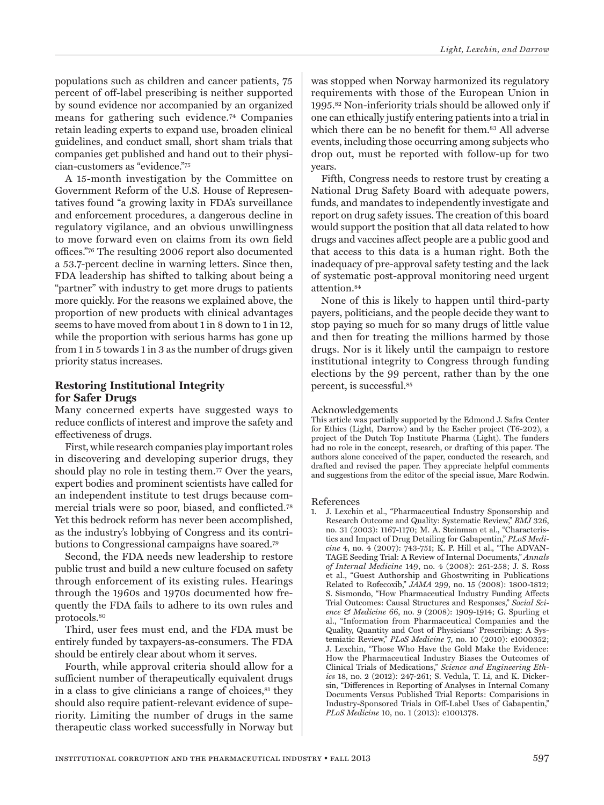populations such as children and cancer patients, 75 percent of off-label prescribing is neither supported by sound evidence nor accompanied by an organized means for gathering such evidence.74 Companies retain leading experts to expand use, broaden clinical guidelines, and conduct small, short sham trials that companies get published and hand out to their physician-customers as "evidence."75

A 15-month investigation by the Committee on Government Reform of the U.S. House of Representatives found "a growing laxity in FDA's surveillance and enforcement procedures, a dangerous decline in regulatory vigilance, and an obvious unwillingness to move forward even on claims from its own field offices."76 The resulting 2006 report also documented a 53.7-percent decline in warning letters. Since then, FDA leadership has shifted to talking about being a "partner" with industry to get more drugs to patients more quickly. For the reasons we explained above, the proportion of new products with clinical advantages seems to have moved from about 1 in 8 down to 1 in 12, while the proportion with serious harms has gone up from 1 in 5 towards 1 in 3 as the number of drugs given priority status increases.

# **Restoring Institutional Integrity for Safer Drugs**

Many concerned experts have suggested ways to reduce conflicts of interest and improve the safety and effectiveness of drugs.

First, while research companies play important roles in discovering and developing superior drugs, they should play no role in testing them.77 Over the years, expert bodies and prominent scientists have called for an independent institute to test drugs because commercial trials were so poor, biased, and conflicted.78 Yet this bedrock reform has never been accomplished, as the industry's lobbying of Congress and its contributions to Congressional campaigns have soared.79

Second, the FDA needs new leadership to restore public trust and build a new culture focused on safety through enforcement of its existing rules. Hearings through the 1960s and 1970s documented how frequently the FDA fails to adhere to its own rules and protocols.80

Third, user fees must end, and the FDA must be entirely funded by taxpayers-as-consumers. The FDA should be entirely clear about whom it serves.

Fourth, while approval criteria should allow for a sufficient number of therapeutically equivalent drugs in a class to give clinicians a range of choices, $s<sup>1</sup>$  they should also require patient-relevant evidence of superiority. Limiting the number of drugs in the same therapeutic class worked successfully in Norway but

was stopped when Norway harmonized its regulatory requirements with those of the European Union in 1995.82 Non-inferiority trials should be allowed only if one can ethically justify entering patients into a trial in which there can be no benefit for them.<sup>83</sup> All adverse events, including those occurring among subjects who drop out, must be reported with follow-up for two years.

Fifth, Congress needs to restore trust by creating a National Drug Safety Board with adequate powers, funds, and mandates to independently investigate and report on drug safety issues. The creation of this board would support the position that all data related to how drugs and vaccines affect people are a public good and that access to this data is a human right. Both the inadequacy of pre-approval safety testing and the lack of systematic post-approval monitoring need urgent attention.84

None of this is likely to happen until third-party payers, politicians, and the people decide they want to stop paying so much for so many drugs of little value and then for treating the millions harmed by those drugs. Nor is it likely until the campaign to restore institutional integrity to Congress through funding elections by the 99 percent, rather than by the one percent, is successful.85

#### Acknowledgements

This article was partially supported by the Edmond J. Safra Center for Ethics (Light, Darrow) and by the Escher project (T6-202), a project of the Dutch Top Institute Pharma (Light). The funders had no role in the concept, research, or drafting of this paper. The authors alone conceived of the paper, conducted the research, and drafted and revised the paper. They appreciate helpful comments and suggestions from the editor of the special issue, Marc Rodwin.

#### References

1. J. Lexchin et al., "Pharmaceutical Industry Sponsorship and Research Outcome and Quality: Systematic Review," *BMJ* 326, no. 31 (2003): 1167-1170; M. A. Steinman et al., "Characteristics and Impact of Drug Detailing for Gabapentin," *PLoS Medicine* 4, no. 4 (2007): 743-751; K. P. Hill et al., "The ADVAN-TAGE Seeding Trial: A Review of Internal Documents," *Annals of Internal Medicine* 149, no. 4 (2008): 251-258; J. S. Ross et al., "Guest Authorship and Ghostwriting in Publications Related to Rofecoxib," *JAMA* 299, no. 15 (2008): 1800-1812; S. Sismondo, "How Pharmaceutical Industry Funding Affects Trial Outcomes: Causal Structures and Responses," *Social Science & Medicine* 66, no. 9 (2008): 1909-1914; G. Spurling et al., "Information from Pharmaceutical Companies and the Quality, Quantity and Cost of Physicians' Prescribing: A Systemiatic Review," *PLoS Medicine* 7, no. 10 (2010): e1000352; J. Lexchin, "Those Who Have the Gold Make the Evidence: How the Pharmaceutical Industry Biases the Outcomes of Clinical Trials of Medications," *Science and Engineering Ethics* 18, no. 2 (2012): 247-261; S. Vedula, T. Li, and K. Dickersin, "Differences in Reporting of Analyses in Internal Comany Documents Versus Published Trial Reports: Comparisions in Industry-Sponsored Trials in Off-Label Uses of Gabapentin," *PLoS Medicine* 10, no. 1 (2013): e1001378.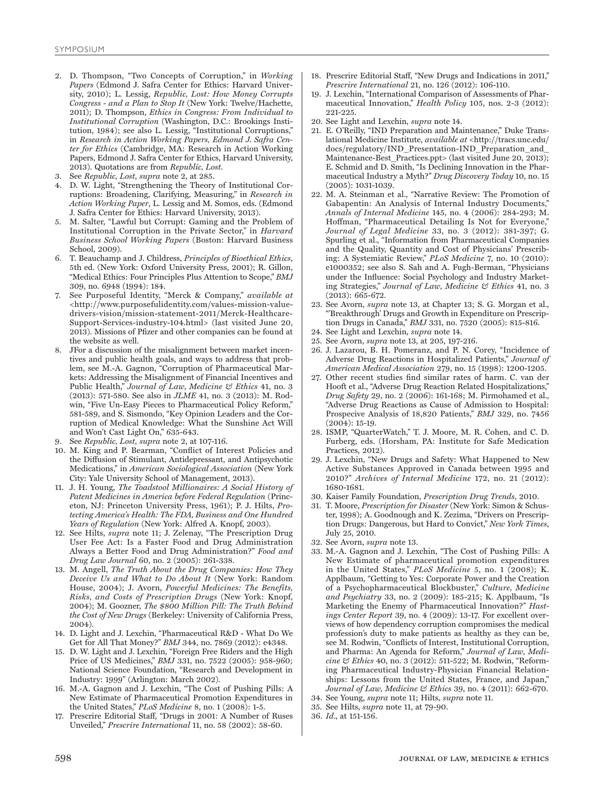- 2. D. Thompson, "Two Concepts of Corruption," in *Working Papers* (Edmond J. Safra Center for Ethics: Harvard University, 2010); L. Lessig, *Republic, Lost: How Money Corrupts Congress - and a Plan to Stop It* (New York: Twelve/Hachette, 2011); D. Thompson, *Ethics in Congress: From Individual to Institutional Corruption* (Washington, D.C.: Brookings Institution, 1984); see also L. Lessig, "Institutional Corruptions," in *Research in Action Working Papers, Edmond J. Safra Center for Ethics* (Cambridge, MA: Research in Action Working Papers, Edmond J. Safra Center for Ethics, Harvard University, 2013). Quotations are from *Republic, Lost*.
- 3. See *Republic, Lost*, *supra* note 2, at 285.
- 4. D. W. Light, "Strengthening the Theory of Institutional Corruptions: Broadening, Clarifying, Measuring," in *Research in Action Working Paper*, L. Lessig and M. Somos, eds. (Edmond J. Safra Center for Ethics: Harvard University, 2013).
- 5. M. Salter, "Lawful but Corrupt: Gaming and the Problem of Institutional Corruption in the Private Sector," in *Harvard Business School Working Papers* (Boston: Harvard Business School, 2009).
- 6. T. Beauchamp and J. Childress, *Principles of Bioethical Ethics*, 5th ed. (New York: Oxford University Press, 2001); R. Gillon, "Medical Ethics: Four Principles Plus Attention to Scope," *BMJ* 309, no. 6948 (1994): 184.
- 7. See Purposeful Identity, "Merck & Company," *available at*  <http://www.purposefulidentity.com/values-mission-valuedrivers-vision/mission-statement-2011/Merck-Healthcare-Support-Services-industry-104.html> (last visited June 20, 2013). Missions of Pfizer and other companies can be found at the website as well.
- JFor a discussion of the misalignment between market incentives and public health goals, and ways to address that problem, see M.-A. Gagnon, "Corruption of Pharmaceutical Markets: Addressing the Misalignment of Financial Incentives and Public Health," *Journal of Law, Medicine & Ethics* 41, no. 3 (2013): 571-580. See also in *JLME* 41, no. 3 (2013): M. Rodwin, "Five Un-Easy Pieces to Pharmaceutical Policy Reform," 581-589, and S. Sismondo, "Key Opinion Leaders and the Corruption of Medical Knowledge: What the Sunshine Act Will and Won't Cast Light On," 635-643.
- 9. See *Republic, Lost*, *supra* note 2, at 107-116.
- 10. M. King and P. Bearman, "Conflict of Interest Policies and the Diffusion of Stimulant, Antidepressant, and Antipsychotic Medications," in *American Sociological Association* (New York City: Yale University School of Management, 2013).
- 11. J. H. Young, *The Toadstool Millionaires: A Social History of Patent Medicines in America before Federal Regulation* (Princeton, NJ: Princeton University Press, 1961); P. J. Hilts, *Protecting America's Health: The FDA, Business and One Hundred Years of Regulation* (New York: Alfred A. Knopf, 2003).
- 12. See Hilts, *supra* note 11; J. Zelenay, "The Prescription Drug User Fee Act: Is a Faster Food and Drug Administration Always a Better Food and Drug Administration?" *Food and Drug Law Journal* 60, no. 2 (2005): 261-338.
- 13. M. Angell, *The Truth About the Drug Companies: How They Deceive Us and What to Do About It* (New York: Random House, 2004); J. Avorn, *Powerful Medicines: The Benefits, Risks, and Costs of Prescription Drugs* (New York: Knopf, 2004); M. Goozner, *The \$800 Million Pill: The Truth Behind the Cost of New Drugs* (Berkeley: University of California Press, 2004).
- 14. D. Light and J. Lexchin, "Pharmaceutical R&D What Do We Get for All That Money?" *BMJ* 344, no. 7869 (2012): e4348.
- 15. D. W. Light and J. Lexchin, "Foreign Free Riders and the High Price of US Medicines," *BMJ* 331, no. 7522 (2005): 958-960; National Science Foundation, "Research and Development in Industry: 1999" (Arlington: March 2002).
- 16. M.-A. Gagnon and J. Lexchin, "The Cost of Pushing Pills: A New Estimate of Pharmaceutical Promotion Expenditures in the United States," *PLoS Medicine* 8, no. 1 (2008): 1-5.
- 17. Prescrire Editorial Staff, "Drugs in 2001: A Number of Ruses Unveiled," *Prescrire International* 11, no. 58 (2002): 58-60.
- 18. Prescrire Editorial Staff, "New Drugs and Indications in 2011," *Prescrire International* 21, no. 126 (2012): 106-110.
- 19. J. Lexchin, "International Comparison of Assessments of Pharmaceutical Innovation," *Health Policy* 105, nos. 2-3 (2012): 221-225.
- 20. See Light and Lexchin, *supra* note 14.
- 21. E. O'Reilly, "IND Preparation and Maintenance," Duke Translational Medicine Institute, *available at* <http://tracs.unc.edu/ docs/regulatory/IND\_Presentation-IND\_Preparation\_and\_ Maintenance-Best Practices.ppt> (last visited June 20, 2013); E. Schmid and D. Smith, "Is Declining Innovation in the Pharmaceutical Industry a Myth?" *Drug Discovery Today* 10, no. 15 (2005): 1031-1039.
- 22. M. A. Steinman et al., "Narrative Review: The Promotion of Gabapentin: An Analysis of Internal Industry Documents, *Annals of Internal Medicine* 145, no. 4 (2006): 284-293; M. Hoffman, "Pharmaceutical Detailing Is Not for Everyone," *Journal of Legal Medicine* 33, no. 3 (2012): 381-397; G. Spurling et al., "Information from Pharmaceutical Companies and the Quality, Quantity and Cost of Physicians' Prescribing: A Systemiatic Review," *PLoS Medicine* 7, no. 10 (2010): e1000352; see also S. Sah and A. Fugh-Berman, "Physicians under the Influence: Social Psychology and Industry Marketing Strategies," *Journal of Law, Medicine & Ethics* 41, no. 3  $(2013): 665-672.$
- 23. See Avorn, *supra* note 13, at Chapter 13; S. G. Morgan et al., "'Breakthrough' Drugs and Growth in Expenditure on Prescription Drugs in Canada," *BMJ* 331, no. 7520 (2005): 815-816.
- 24. See Light and Lexchin, *supra* note 14.
- 25. See Avorn, *supra* note 13, at 205, 197-216.
- 26. J. Lazarou, B. H. Pomeranz, and P. N. Corey, "Incidence of Adverse Drug Reactions in Hospitalized Patients," *Journal of American Medical Association* 279, no. 15 (1998): 1200-1205.
- 27. Other recent studies find similar rates of harm. C. van der Hooft et al., "Adverse Drug Reaction Related Hospitalizations," *Drug Safety* 29, no. 2 (2006): 161-168; M. Pirmohamed et al., "Adverse Drug Reactions as Cause of Admission to Hospital: Prospecive Analysis of 18,820 Patients," *BMJ* 329, no. 7456 (2004): 15-19.
- 28. ISMP, "QuarterWatch," T. J. Moore, M. R. Cohen, and C. D. Furberg, eds. (Horsham, PA: Institute for Safe Medication Practices, 2012).
- 29. J. Lexchin, "New Drugs and Safety: What Happened to New Active Substances Approved in Canada between 1995 and 2010?" *Archives of Internal Medicine* 172, no. 21 (2012): 1680-1681.
- 30. Kaiser Family Foundation, *Prescription Drug Trends*, 2010.
- 31. T. Moore, *Prescription for Disaster* (New York: Simon & Schuster, 1998); A. Goodnough and K. Zezima, "Drivers on Prescription Drugs: Dangerous, but Hard to Convict," *New York Times*, July 25, 2010.
- 32. See Avorn, *supra* note 13.
- 33. M.-A. Gagnon and J. Lexchin, "The Cost of Pushing Pills: A New Estimate of pharmaceutical promotion expenditures in the United States," *PLoS Medicine* 5, no. 1 (2008); K. Applbaum, "Getting to Yes: Corporate Power and the Creation of a Psychopharmaceutical Blockbuster," *Culture, Medicine and Psychiatry* 33, no. 2 (2009): 185-215; K. Applbaum, "Is Marketing the Enemy of Pharmaceutical Innovation?" *Hastings Center Report* 39, no. 4 (2009): 13-17. For excellent overviews of how dependency corruption compromises the medical profession's duty to make patients as healthy as they can be, see M. Rodwin, "Conflicts of Interest, Institutional Corruption, and Pharma: An Agenda for Reform," *Journal of Law, Medicine & Ethics* 40, no. 3 (2012): 511-522; M. Rodwin, "Reforming Pharmaceutical Industry-Physician Financial Relationships: Lessons from the United States, France, and Japan," *Journal of Law, Medicine & Ethics* 39, no. 4 (2011): 662-670.
- 34. See Young, *supra* note 11; Hilts, *supra* note 11.
- 35. See Hilts, *supra* note 11, at 79-90.
- 36. *Id*., at 151-156.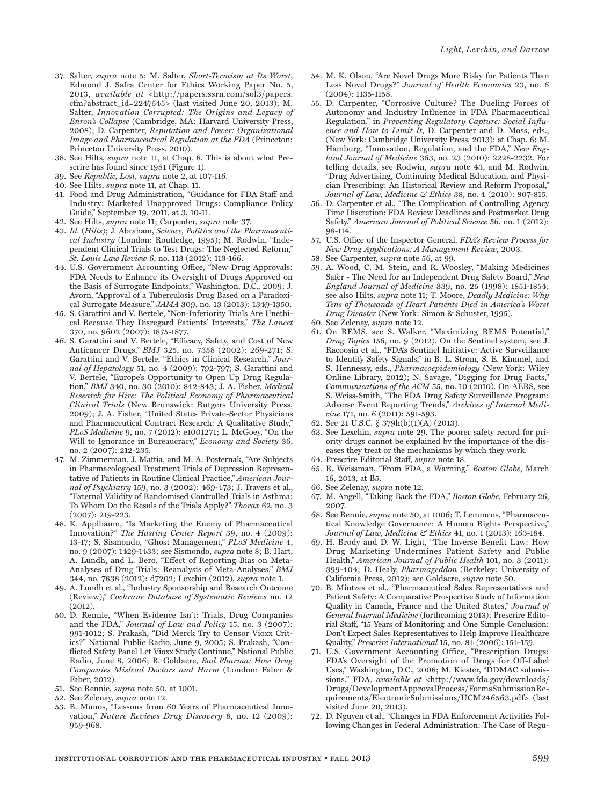- 37. Salter, *supra* note 5; M. Salter, *Short-Termism at Its Worst*, Edmond J. Safra Center for Ethics Working Paper No. 5, 2013, *available at* <http://papers.ssrn.com/sol3/papers. cfm?abstract\_id=2247545> (last visited June 20, 2013); M. Salter, *Innovation Corrupted: The Origins and Legacy of Enron's Collapse* (Cambridge, MA: Harvard University Press, 2008); D. Carpenter, *Reputation and Power: Organizational Image and Pharmaceutical Regulation at the FDA* (Princeton: Princeton University Press, 2010).
- 38. See Hilts, *supra* note 11, at Chap. 8. This is about what Prescrire has found since 1981 (Figure 1).
- 39. See *Republic, Lost*, *supra* note 2, at 107-116.
- 40. See Hilts, *supra* note 11, at Chap. 11.
- 41. Food and Drug Administration, "Guidance for FDA Staff and Industry: Marketed Unapproved Drugs: Compliance Policy Guide," September 19, 2011, at 3, 10-11.
- 42. See Hilts, *supra* note 11; Carpenter, *supra* note 37.
- 43. *Id.* (*Hilts*); J. Abraham, *Science, Politics and the Pharmaceutical Industry* (London: Routledge, 1995); M. Rodwin, "Independent Clinical Trials to Test Drugs: The Neglected Reform," *St. Louis Law Review* 6, no. 113 (2012): 113-166.
- 44. U.S. Government Accounting Office, "New Drug Approvals: FDA Needs to Enhance its Oversight of Drugs Approved on the Basis of Surrogate Endpoints," Washington, D.C., 2009; J. Avorn, "Approval of a Tuberculosis Drug Based on a Paradoxical Surrogate Measure," *JAMA* 309, no. 13 (2013): 1349-1350.
- 45. S. Garattini and V. Bertele, "Non-Inferiority Trials Are Unethical Because They Disregard Patients' Interests," *The Lancet*  370, no. 9602 (2007): 1875-1877.
- 46. S. Garattini and V. Bertele, "Efficacy, Safety, and Cost of New Anticancer Drugs," *BMJ* 325, no. 7358 (2002): 269-271; S. Garattini and V. Bertele, "Ethics in Clinical Research," *Journal of Hepatology* 51, no. 4 (2009): 792-797; S. Garattini and V. Bertele, "Europe's Opportunity to Open Up Drug Regulation," *BMJ* 340, no. 30 (2010): 842-843; J. A. Fisher, *Medical Research for Hire: The Political Economy of Pharmaceutical Clinical Trials* (New Brunswick: Rutgers University Press, 2009); J. A. Fisher, "United States Private-Sector Physicians and Pharmaceutical Contract Research: A Qualitative Study," *PLoS Medicine* 9, no. 7 (2012): e1001271; L. McGoey, "On the Will to Ignorance in Bureaucracy," *Economy and Society* 36, no. 2 (2007): 212-235.
- 47. M. Zimmerman, J. Mattia, and M. A. Posternak, "Are Subjects in Pharmacologocal Treatment Trials of Depression Representative of Patients in Routine Clinical Practice," *American Journal of Psychiatry* 159, no. 3 (2002): 469-473; J. Travers et al., "External Validity of Randomised Controlled Trials in Asthma: To Whom Do the Resuls of the Trials Apply?" *Thorax* 62, no. 3 (2007): 219-223.
- 48. K. Applbaum, "Is Marketing the Enemy of Pharmaceutical Innovation?" *The Hasting Center Report* 39, no. 4 (2009): 13-17; S. Sismondo, "Ghost Management," *PLoS Medicine* 4, no. 9 (2007): 1429-1433; see Sismondo, *supra* note 8; B. Hart, A. Lundh, and L. Bero, "Effect of Reporting Bias on Meta-Analyses of Drug Trials: Reanalysis of Meta-Analyses," *BMJ* 344, no. 7838 (2012): d7202; Lexchin (2012), *supra* note 1.
- 49. A. Lundh et al., "Industry Sponsorship and Research Outcome (Review)," *Cochrane Database of Systematic Reviews* no. 12 (2012).
- 50. D. Rennie, "When Evidence Isn't: Trials, Drug Companies and the FDA," *Journal of Law and Policy* 15, no. 3 (2007): 991-1012; S. Prakash, "Did Merck Try to Censor Vioxx Critics?" National Public Radio, June 9, 2005; S. Prakash, "Conflicted Safety Panel Let Vioxx Study Continue," National Public Radio, June 8, 2006; B. Goldacre, *Bad Pharma: How Drug Companies Mislead Doctors and Harm* (London: Faber & Faber, 2012).
- 51. See Rennie, *supra* note 50, at 1001.
- 52. See Zelenay, *supra* note 12.
- 53. B. Munos, "Lessons from 60 Years of Pharmaceutical Innovation," *Nature Reviews Drug Discovery* 8, no. 12 (2009): 959-968.
- 54. M. K. Olson, "Are Novel Drugs More Risky for Patients Than Less Novel Drugs?" *Journal of Health Economics* 23, no. 6 (2004): 1135-1158.
- 55. D. Carpenter, "Corrosive Culture? The Dueling Forces of Autonomy and Industry Influence in FDA Pharmaceutical Regulation," in *Preventing Regulatory Capture: Social Influence and How to Limit It*, D. Carpenter and D. Moss, eds., (New York: Cambridge University Press, 2013): at Chap. 6; M. Hamburg, "Innovation, Regulation, and the FDA," *New England Journal of Medicine* 363, no. 23 (2010): 2228-2232. For telling details, see Rodwin, *supra* note 43, and M. Rodwin, "Drug Advertising, Continuing Medical Education, and Physician Prescribing: An Historical Review and Reform Proposal," *Journal of Law, Medicine & Ethics* 38, no. 4 (2010): 807-815.
- 56. D. Carpenter et al., "The Complication of Controlling Agency Time Discretion: FDA Review Deadlines and Postmarket Drug Safety," *American Journal of Political Science* 56, no. 1 (2012): 98-114.
- 57. U.S. Office of the Inspector General, *FDA's Review Process for New Drug Applications: A Management Review*, 2003.
- 58. See Carpenter, *supra* note 56, at 99.
- 59. A. Wood, C. M. Stein, and R. Woosley, "Making Medicines Safer - The Need for an Independent Drug Safety Board," *New England Journal of Medicine* 339, no. 25 (1998): 1851-1854; see also Hilts, *supra* note 11; T. Moore, *Deadly Medicine: Why Tens of Thousands of Heart Patients Died in America's Worst Drug Disaster* (New York: Simon & Schuster, 1995).
- 60. See Zelenay, *supra* note 12.
- 61. On REMS, see S. Walker, "Maximizing REMS Potential," *Drug Topics* 156, no. 9 (2012). On the Sentinel system, see J. Racoosin et al., "FDA's Sentinel Initiative: Active Surveillance to Identify Safety Signals," in B. L. Strom, S. E. Kimmel, and S. Hennessy, eds., *Pharmacoepidemiology* (New York: Wiley Online Library, 2012); N. Savage, "Digging for Drug Facts," *Communications of the ACM* 55, no. 10 (2010). On AERS, see S. Weiss-Smith, "The FDA Drug Safety Surveillance Program: Adverse Event Reporting Trends," *Archives of Internal Medicine* 171, no. 6 (2011): 591-593.
- 62. See 21 U.S.C. § 379h(b)(1)(A) (2013).
- 63. See Lexchin, *supra* note 29. The poorer safety record for priority drugs cannot be explained by the importance of the diseases they treat or the mechanisms by which they work.
- 64. Prescrire Editorial Staff, *supra* note 18.
- 65. R. Weissman, "From FDA, a Warning," *Boston Globe*, March 16, 2013, at B5.
- 66. See Zelenay, *supra* note 12.
- 67. M. Angell, "Taking Back the FDA," *Boston Globe*, February 26, 2007.
- 68. See Rennie, *supra* note 50, at 1006; T. Lemmens, "Pharmaceutical Knowledge Governance: A Human Rights Perspective," *Journal of Law, Medicine & Ethics* 41, no. 1 (2013): 163-184.
- 69. H. Brody and D. W. Light, "The Inverse Benefit Law: How Drug Marketing Undermines Patient Safety and Public Health," *American Journal of Public Health* 101, no. 3 (2011): 399-404; D. Healy, *Pharmageddon* (Berkeley: University of California Press, 2012); see Goldacre, *supra* note 50.
- 70. B. Mintzes et al., "Pharmaceutical Sales Representatives and Patient Safety: A Comparative Prospective Study of Information Quality in Canada, France and the United States," *Journal of General Internal Medicine* (forthcoming 2013); Prescrire Editorial Staff, "15 Years of Monitoring and One Simple Conclusion: Don't Expect Sales Representatives to Help Improve Healthcare Quality," *Prescrire International* 15, no. 84 (2006): 154-159.
- 71. U.S. Government Accounting Office, "Prescription Drugs: FDA's Oversight of the Promotion of Drugs for Off-Label Uses," Washington, D.C., 2008; M. Kiester, "DDMAC submissions," FDA, *available at* <http://www.fda.gov/downloads/ Drugs/DevelopmentApprovalProcess/FormsSubmissionRequirements/ElectronicSubmissions/UCM246563.pdf> (last visited June 20, 2013).
- 72. D. Nguyen et al., "Changes in FDA Enforcement Activities Following Changes in Federal Administration: The Case of Regu-